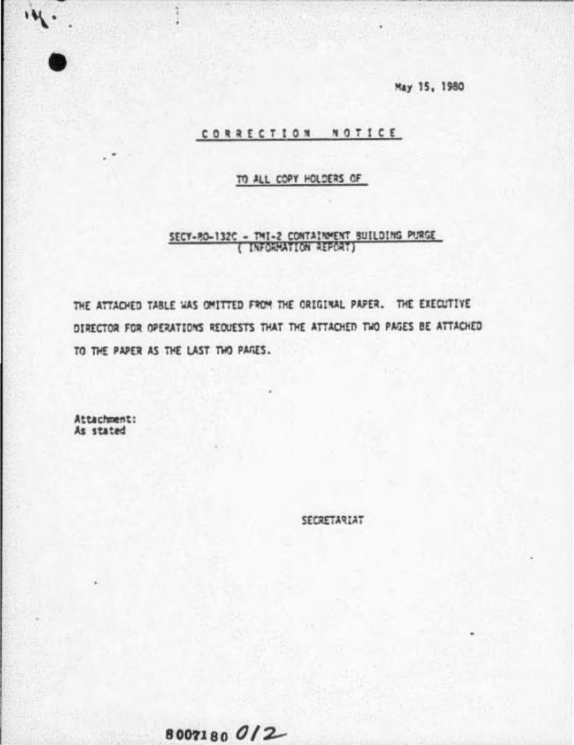May 15, 1980

#### CORRECTION NOTICE

#### TO ALL COPY HOLDERS OF

# SECY-RO-132C - TMI-2 CONTAINMENT BUILDING PURGE

THE ATTACHED TABLE WAS OMITTED FROM THE ORIGINAL PAPER. THE EXECUTIVE DIRECTOR FOR OPERATIONS REQUESTS THAT THE ATTACHED TWO PAGES BE ATTACHED TO THE PAPER AS THE LAST TWO PAGES.

Attachment: As stated

 $\ddot{M}$ .

SECRETARIAT

## 8007180012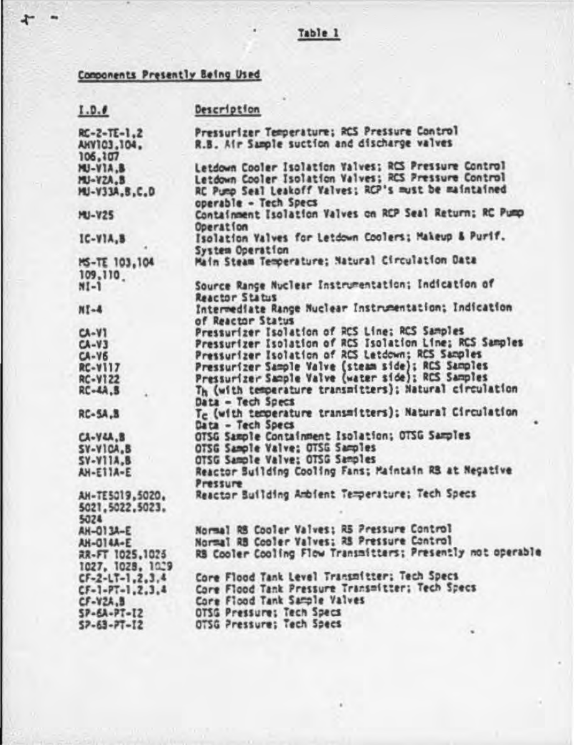## Table 1

## Components Presently Being Used

| I.D.0                                                                                                                                                                                                                                                             | Description                                                                                                                                                                                                                                                                                                                                                                                                                                                                                                                                                                                                                                                                                                         |
|-------------------------------------------------------------------------------------------------------------------------------------------------------------------------------------------------------------------------------------------------------------------|---------------------------------------------------------------------------------------------------------------------------------------------------------------------------------------------------------------------------------------------------------------------------------------------------------------------------------------------------------------------------------------------------------------------------------------------------------------------------------------------------------------------------------------------------------------------------------------------------------------------------------------------------------------------------------------------------------------------|
| $RC - 2 - TE - 1.2$<br>AHV103,104,<br>106,107                                                                                                                                                                                                                     | Pressurizer Temperature; RCS Pressure Control<br>R.B. Air Sample suction and discharge valves                                                                                                                                                                                                                                                                                                                                                                                                                                                                                                                                                                                                                       |
| <b>MU-VIA.B</b><br>MU-YZA.B<br>MU-V33A.B.C.D                                                                                                                                                                                                                      | Letdown Cooler Isolation Valves; RCS Pressure Control<br>Letdown Cooler Isolation Valves; RCS Pressure Control<br>RC Pump Seal Leakoff Valves; RCP's must be maintained<br>operable - Tech Specs                                                                                                                                                                                                                                                                                                                                                                                                                                                                                                                    |
| <b>MU-V25</b>                                                                                                                                                                                                                                                     | Containment Isolation Valves on RCP Seal Return; RC Pump<br>Operation                                                                                                                                                                                                                                                                                                                                                                                                                                                                                                                                                                                                                                               |
| $IC-VIA, B$                                                                                                                                                                                                                                                       | Isolation Valves for Letdown Coolers; Makeup & Purif.<br>System Operation                                                                                                                                                                                                                                                                                                                                                                                                                                                                                                                                                                                                                                           |
| <b>MS-TE 103,104</b><br>109,110                                                                                                                                                                                                                                   | Main Steam Temperature; Natural Circulation Data                                                                                                                                                                                                                                                                                                                                                                                                                                                                                                                                                                                                                                                                    |
| $NI-1$                                                                                                                                                                                                                                                            | Source Range Nuclear Instrumentation; Indication of<br>Reactor Status                                                                                                                                                                                                                                                                                                                                                                                                                                                                                                                                                                                                                                               |
| $M-1N$                                                                                                                                                                                                                                                            | Intermediate Range Nuclear Instrumentation; Indication                                                                                                                                                                                                                                                                                                                                                                                                                                                                                                                                                                                                                                                              |
| $C A - V1$<br>$C A - V 3$<br>$CA-YS$<br><b>RC-V117</b><br><b>RC-V122</b><br><b>RC-4A.B</b><br><b>RC-5A.B</b><br>$C\lambda - Y\lambda\lambda$ , $B$<br>$SV-VICA$ <sub>-</sub> $B$<br><b>SV-V11A.B</b><br>AH-ETTA-E<br>AH-TE5019,5020.<br>5021, 5022, 5023.<br>5024 | of Reactor Status<br>Pressurizer Isolation of RCS Line; RCS Samples<br>Pressurizer Isolation of RCS Isolation Line; RCS Samples<br>Pressurizer Isolation of RCS Letdown; RCS Samples<br>Pressurizer Sample Valve (steam side); RCS Samples<br>Pressurizer Sample Valve (water side); RCS Samples<br>Th (with temperature transmitters); Natural circulation<br>Data - Tech Specs<br>Te (with temperature transmitters); Natural Circulation<br>Data - Tech Specs<br>OTSG Sample Containment Isolation; OTSG Samples<br>OTSG Sample Valve: OTSG Samples<br>OTSG Sample Valve; OTSG Samples<br>Reactor Suilding Cooling Fans; Maintain RS at Negative<br>Pressure<br>Reactor Building Ambient Temperature; Tech Specs |
| AH-013A-E<br>AH-014A-E<br>RR-FT 1025,1025<br>1027, 1028, 1029<br>$CF-2-LT-1, 2, 3, 4$<br>$CF-1-PT-1, 2, 3, 4$<br>$CF-YZA.$<br>$SP-SA-PT-12$<br>$57 - 63 - 77 - 12$                                                                                                | Normal RB Cooler Valves; RS Pressure Control<br>Normal RB Cooler Valves; RS Pressure Control<br>RB Cooler Cooling Flow Transmitters; Presently not operable<br>Core Flood Tank Level Transmitter; Tech Specs<br>Core Flood Tank Pressure Transmitter; Tech Specs<br>Core Flood Tank Sample Valves<br>OTSG Pressure: Tech Specs<br>OTSG Pressure; Tech Specs                                                                                                                                                                                                                                                                                                                                                         |